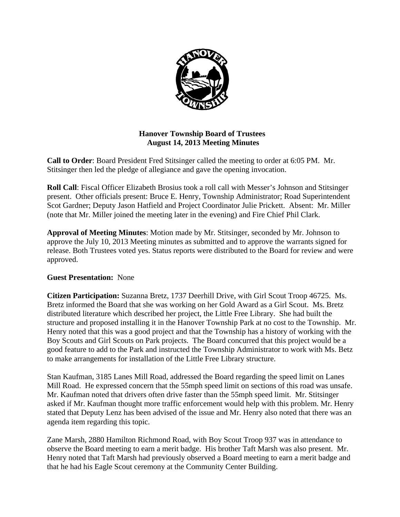

### **Hanover Township Board of Trustees August 14, 2013 Meeting Minutes**

**Call to Order**: Board President Fred Stitsinger called the meeting to order at 6:05 PM. Mr. Stitsinger then led the pledge of allegiance and gave the opening invocation.

**Roll Call**: Fiscal Officer Elizabeth Brosius took a roll call with Messer's Johnson and Stitsinger present. Other officials present: Bruce E. Henry, Township Administrator; Road Superintendent Scot Gardner; Deputy Jason Hatfield and Project Coordinator Julie Prickett. Absent: Mr. Miller (note that Mr. Miller joined the meeting later in the evening) and Fire Chief Phil Clark.

**Approval of Meeting Minutes**: Motion made by Mr. Stitsinger, seconded by Mr. Johnson to approve the July 10, 2013 Meeting minutes as submitted and to approve the warrants signed for release. Both Trustees voted yes. Status reports were distributed to the Board for review and were approved.

### **Guest Presentation:** None

**Citizen Participation:** Suzanna Bretz, 1737 Deerhill Drive, with Girl Scout Troop 46725. Ms. Bretz informed the Board that she was working on her Gold Award as a Girl Scout. Ms. Bretz distributed literature which described her project, the Little Free Library. She had built the structure and proposed installing it in the Hanover Township Park at no cost to the Township. Mr. Henry noted that this was a good project and that the Township has a history of working with the Boy Scouts and Girl Scouts on Park projects. The Board concurred that this project would be a good feature to add to the Park and instructed the Township Administrator to work with Ms. Betz to make arrangements for installation of the Little Free Library structure.

Stan Kaufman, 3185 Lanes Mill Road, addressed the Board regarding the speed limit on Lanes Mill Road. He expressed concern that the 55mph speed limit on sections of this road was unsafe. Mr. Kaufman noted that drivers often drive faster than the 55mph speed limit. Mr. Stitsinger asked if Mr. Kaufman thought more traffic enforcement would help with this problem. Mr. Henry stated that Deputy Lenz has been advised of the issue and Mr. Henry also noted that there was an agenda item regarding this topic.

Zane Marsh, 2880 Hamilton Richmond Road, with Boy Scout Troop 937 was in attendance to observe the Board meeting to earn a merit badge. His brother Taft Marsh was also present. Mr. Henry noted that Taft Marsh had previously observed a Board meeting to earn a merit badge and that he had his Eagle Scout ceremony at the Community Center Building.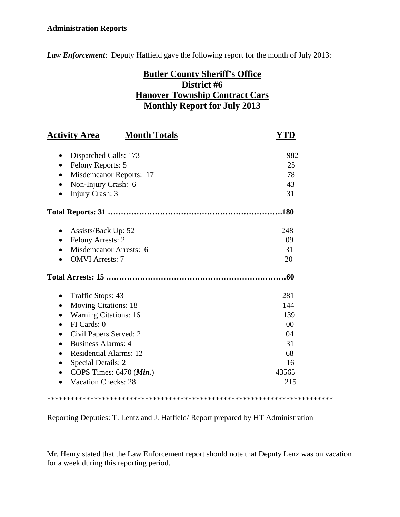### **Administration Reports**

*Law Enforcement*: Deputy Hatfield gave the following report for the month of July 2013:

# **Butler County Sheriff's Office District #6 Hanover Township Contract Cars Monthly Report for July 2013**

| <b>Activity Area</b><br><b>Month Totals</b> | Y'I'D  |
|---------------------------------------------|--------|
| Dispatched Calls: 173                       | 982    |
| Felony Reports: 5<br>$\bullet$              | 25     |
| Misdemeanor Reports: 17<br>٠                | 78     |
| Non-Injury Crash: 6                         | 43     |
| Injury Crash: 3                             | 31     |
|                                             |        |
| Assists/Back Up: 52                         | 248    |
| <b>Felony Arrests: 2</b>                    | 09     |
| Misdemeanor Arrests: 6                      | 31     |
| <b>OMVI</b> Arrests: 7                      | 20     |
|                                             | 60     |
| Traffic Stops: 43                           | 281    |
| <b>Moving Citations: 18</b><br>$\bullet$    | 144    |
| <b>Warning Citations: 16</b>                | 139    |
| FI Cards: 0                                 | $00\,$ |
| Civil Papers Served: 2                      | 04     |
| <b>Business Alarms: 4</b>                   | 31     |
| <b>Residential Alarms: 12</b>               | 68     |
| <b>Special Details: 2</b>                   | 16     |
| COPS Times: $6470$ ( <i>Min.</i> )          | 43565  |
| <b>Vacation Checks: 28</b>                  | 215    |
|                                             |        |

Reporting Deputies: T. Lentz and J. Hatfield/ Report prepared by HT Administration

\*\*\*\*\*\*\*\*\*\*\*\*\*\*\*\*\*\*\*\*\*\*\*\*\*\*\*\*\*\*\*\*\*\*\*\*\*\*\*\*\*\*\*\*\*\*\*\*\*\*\*\*\*\*\*\*\*\*\*\*\*\*\*\*\*\*\*\*\*\*\*\*\*

Mr. Henry stated that the Law Enforcement report should note that Deputy Lenz was on vacation for a week during this reporting period.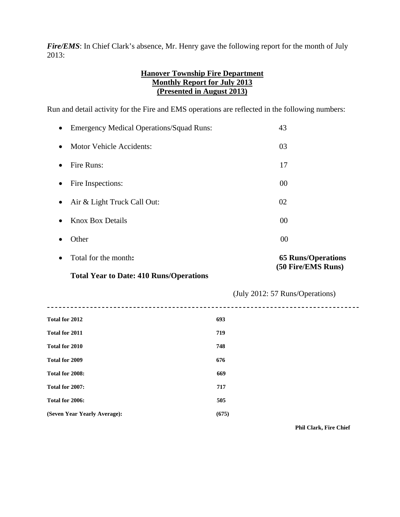*Fire/EMS*: In Chief Clark's absence, Mr. Henry gave the following report for the month of July 2013:

### **Hanover Township Fire Department Monthly Report for July 2013 (Presented in August 2013)**

Run and detail activity for the Fire and EMS operations are reflected in the following numbers:

| $\bullet$ | Total for the month:<br>$\sim$<br>$\mathbf{m}$ is $\mathbf{r}$ in $\mathbf{r}$ is $\mathbf{r}$ | <b>65 Runs/Operations</b><br>(50 Fire/EMS Runs) |
|-----------|------------------------------------------------------------------------------------------------|-------------------------------------------------|
| $\bullet$ | Other                                                                                          | 00                                              |
| $\bullet$ | <b>Knox Box Details</b>                                                                        | 00                                              |
| $\bullet$ | Air & Light Truck Call Out:                                                                    | 02                                              |
| $\bullet$ | Fire Inspections:                                                                              | 00                                              |
| $\bullet$ | Fire Runs:                                                                                     | 17                                              |
| $\bullet$ | <b>Motor Vehicle Accidents:</b>                                                                | 03                                              |
| $\bullet$ | <b>Emergency Medical Operations/Squad Runs:</b>                                                | 43                                              |

#### **Total Year to Date: 410 Runs/Operations**

| Total for 2012               | 693   |
|------------------------------|-------|
| Total for 2011               | 719   |
| Total for 2010               | 748   |
| Total for 2009               | 676   |
| Total for 2008:              | 669   |
| Total for 2007:              | 717   |
| Total for 2006:              | 505   |
| (Seven Year Yearly Average): | (675) |
|                              |       |

 **Phil Clark, Fire Chief**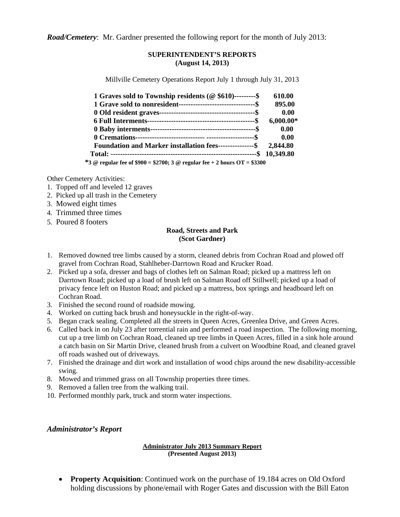*Road/Cemetery*: Mr. Gardner presented the following report for the month of July 2013:

#### **SUPERINTENDENT'S REPORTS (August 14, 2013)**

Millville Cemetery Operations Report July 1 through July 31, 2013

| 1 Graves sold to Township residents ( $@$ \$610)---------\$                | 610.00      |
|----------------------------------------------------------------------------|-------------|
|                                                                            | 895.00      |
|                                                                            | 0.00        |
|                                                                            | $6,000.00*$ |
|                                                                            | 0.00        |
|                                                                            | 0.00        |
| Foundation and Marker installation fees---------------\$ 2,844.80          |             |
|                                                                            |             |
| *3 @ regular fee of $$900 = $2700$ ; 3 @ regular fee + 2 hours OT = \$3300 |             |

Other Cemetery Activities:

- 1. Topped off and leveled 12 graves
- 2. Picked up all trash in the Cemetery
- 3. Mowed eight times
- 4. Trimmed three times
- 5. Poured 8 footers

#### **Road, Streets and Park (Scot Gardner)**

- 1. Removed downed tree limbs caused by a storm, cleaned debris from Cochran Road and plowed off gravel from Cochran Road, Stahlheber-Darrtown Road and Krucker Road.
- 2. Picked up a sofa, dresser and bags of clothes left on Salman Road; picked up a mattress left on Darrtown Road; picked up a load of brush left on Salman Road off Stillwell; picked up a load of privacy fence left on Huston Road; and picked up a mattress, box springs and headboard left on Cochran Road.
- 3. Finished the second round of roadside mowing.
- 4. Worked on cutting back brush and honeysuckle in the right-of-way.
- 5. Began crack sealing. Completed all the streets in Queen Acres, Greenlea Drive, and Green Acres.
- 6. Called back in on July 23 after torrential rain and performed a road inspection. The following morning, cut up a tree limb on Cochran Road, cleaned up tree limbs in Queen Acres, filled in a sink hole around a catch basin on Sir Martin Drive, cleaned brush from a culvert on Woodbine Road, and cleaned gravel off roads washed out of driveways.
- 7. Finished the drainage and dirt work and installation of wood chips around the new disability-accessible swing.
- 8. Mowed and trimmed grass on all Township properties three times.
- 9. Removed a fallen tree from the walking trail.
- 10. Performed monthly park, truck and storm water inspections.

#### *Administrator's Report*

#### **Administrator July 2013 Summary Report (Presented August 2013)**

 **Property Acquisition**: Continued work on the purchase of 19.184 acres on Old Oxford holding discussions by phone/email with Roger Gates and discussion with the Bill Eaton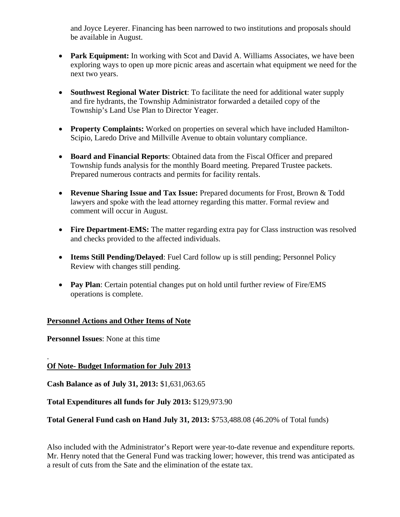and Joyce Leyerer. Financing has been narrowed to two institutions and proposals should be available in August.

- **Park Equipment:** In working with Scot and David A. Williams Associates, we have been exploring ways to open up more picnic areas and ascertain what equipment we need for the next two years.
- **Southwest Regional Water District**: To facilitate the need for additional water supply and fire hydrants, the Township Administrator forwarded a detailed copy of the Township's Land Use Plan to Director Yeager.
- **Property Complaints:** Worked on properties on several which have included Hamilton-Scipio, Laredo Drive and Millville Avenue to obtain voluntary compliance.
- **Board and Financial Reports**: Obtained data from the Fiscal Officer and prepared Township funds analysis for the monthly Board meeting. Prepared Trustee packets. Prepared numerous contracts and permits for facility rentals.
- **Revenue Sharing Issue and Tax Issue:** Prepared documents for Frost, Brown & Todd lawyers and spoke with the lead attorney regarding this matter. Formal review and comment will occur in August.
- Fire Department-EMS: The matter regarding extra pay for Class instruction was resolved and checks provided to the affected individuals.
- **Items Still Pending/Delayed:** Fuel Card follow up is still pending; Personnel Policy Review with changes still pending.
- **Pay Plan**: Certain potential changes put on hold until further review of Fire/EMS operations is complete.

# **Personnel Actions and Other Items of Note**

**Personnel Issues**: None at this time

#### . **Of Note- Budget Information for July 2013**

**Cash Balance as of July 31, 2013:** \$1,631,063.65

**Total Expenditures all funds for July 2013:** \$129,973.90

**Total General Fund cash on Hand July 31, 2013:** \$753,488.08 (46.20% of Total funds)

Also included with the Administrator's Report were year-to-date revenue and expenditure reports. Mr. Henry noted that the General Fund was tracking lower; however, this trend was anticipated as a result of cuts from the Sate and the elimination of the estate tax.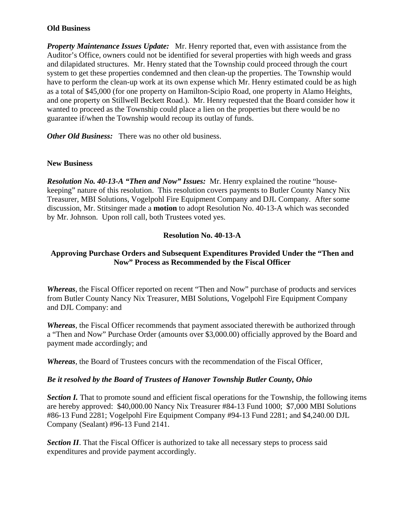#### **Old Business**

*Property Maintenance Issues Update:* Mr. Henry reported that, even with assistance from the Auditor's Office, owners could not be identified for several properties with high weeds and grass and dilapidated structures. Mr. Henry stated that the Township could proceed through the court system to get these properties condemned and then clean-up the properties. The Township would have to perform the clean-up work at its own expense which Mr. Henry estimated could be as high as a total of \$45,000 (for one property on Hamilton-Scipio Road, one property in Alamo Heights, and one property on Stillwell Beckett Road.). Mr. Henry requested that the Board consider how it wanted to proceed as the Township could place a lien on the properties but there would be no guarantee if/when the Township would recoup its outlay of funds.

*Other Old Business:* There was no other old business.

### **New Business**

*Resolution No. 40-13-A "Then and Now" Issues:* Mr. Henry explained the routine "housekeeping" nature of this resolution. This resolution covers payments to Butler County Nancy Nix Treasurer, MBI Solutions, Vogelpohl Fire Equipment Company and DJL Company. After some discussion, Mr. Stitsinger made a **motion** to adopt Resolution No. 40-13-A which was seconded by Mr. Johnson. Upon roll call, both Trustees voted yes.

### **Resolution No. 40-13-A**

### **Approving Purchase Orders and Subsequent Expenditures Provided Under the "Then and Now" Process as Recommended by the Fiscal Officer**

*Whereas*, the Fiscal Officer reported on recent "Then and Now" purchase of products and services from Butler County Nancy Nix Treasurer, MBI Solutions, Vogelpohl Fire Equipment Company and DJL Company: and

*Whereas*, the Fiscal Officer recommends that payment associated therewith be authorized through a "Then and Now" Purchase Order (amounts over \$3,000.00) officially approved by the Board and payment made accordingly; and

*Whereas*, the Board of Trustees concurs with the recommendation of the Fiscal Officer,

#### *Be it resolved by the Board of Trustees of Hanover Township Butler County, Ohio*

*Section I.* That to promote sound and efficient fiscal operations for the Township, the following items are hereby approved: \$40,000.00 Nancy Nix Treasurer #84-13 Fund 1000; \$7,000 MBI Solutions #86-13 Fund 2281; Vogelpohl Fire Equipment Company #94-13 Fund 2281; and \$4,240.00 DJL Company (Sealant) #96-13 Fund 2141.

**Section II**. That the Fiscal Officer is authorized to take all necessary steps to process said expenditures and provide payment accordingly.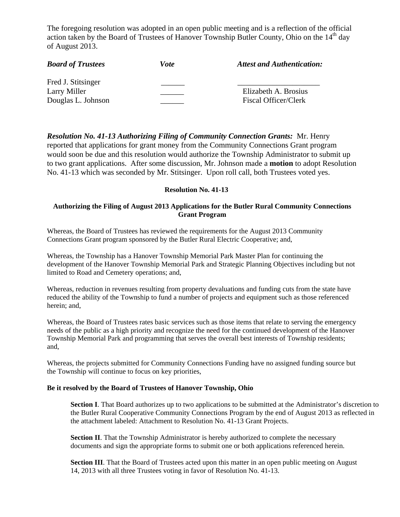The foregoing resolution was adopted in an open public meeting and is a reflection of the official action taken by the Board of Trustees of Hanover Township Butler County, Ohio on the  $14<sup>th</sup>$  day of August 2013.

| <b>Board of Trustees</b> | Vote | <b>Attest and Authentication:</b> |
|--------------------------|------|-----------------------------------|
| Fred J. Stitsinger       |      |                                   |
| Larry Miller             |      | Elizabeth A. Brosius              |
| Douglas L. Johnson       |      | Fiscal Officer/Clerk              |

*Resolution No. 41-13 Authorizing Filing of Community Connection Grants:* Mr. Henry reported that applications for grant money from the Community Connections Grant program would soon be due and this resolution would authorize the Township Administrator to submit up to two grant applications. After some discussion, Mr. Johnson made a **motion** to adopt Resolution No. 41-13 which was seconded by Mr. Stitsinger. Upon roll call, both Trustees voted yes.

#### **Resolution No. 41-13**

#### **Authorizing the Filing of August 2013 Applications for the Butler Rural Community Connections Grant Program**

Whereas, the Board of Trustees has reviewed the requirements for the August 2013 Community Connections Grant program sponsored by the Butler Rural Electric Cooperative; and,

Whereas, the Township has a Hanover Township Memorial Park Master Plan for continuing the development of the Hanover Township Memorial Park and Strategic Planning Objectives including but not limited to Road and Cemetery operations; and,

Whereas, reduction in revenues resulting from property devaluations and funding cuts from the state have reduced the ability of the Township to fund a number of projects and equipment such as those referenced herein; and,

Whereas, the Board of Trustees rates basic services such as those items that relate to serving the emergency needs of the public as a high priority and recognize the need for the continued development of the Hanover Township Memorial Park and programming that serves the overall best interests of Township residents; and,

Whereas, the projects submitted for Community Connections Funding have no assigned funding source but the Township will continue to focus on key priorities,

#### **Be it resolved by the Board of Trustees of Hanover Township, Ohio**

**Section I**. That Board authorizes up to two applications to be submitted at the Administrator's discretion to the Butler Rural Cooperative Community Connections Program by the end of August 2013 as reflected in the attachment labeled: Attachment to Resolution No. 41-13 Grant Projects.

**Section II**. That the Township Administrator is hereby authorized to complete the necessary documents and sign the appropriate forms to submit one or both applications referenced herein.

**Section III**. That the Board of Trustees acted upon this matter in an open public meeting on August 14, 2013 with all three Trustees voting in favor of Resolution No. 41-13.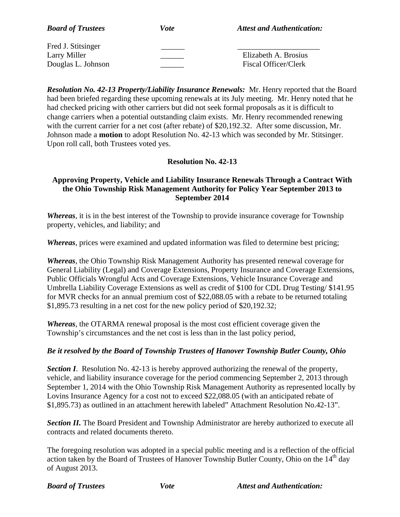| <b>Board of Trustees</b> | Vote | <b>Attest and Authentication:</b> |
|--------------------------|------|-----------------------------------|
| Fred J. Stitsinger       |      |                                   |
| Larry Miller             |      | Elizabeth A. Brosius              |
| Douglas L. Johnson       |      | Fiscal Officer/Clerk              |

*Resolution No. 42-13 Property/Liability Insurance Renewals:* Mr. Henry reported that the Board had been briefed regarding these upcoming renewals at its July meeting. Mr. Henry noted that he had checked pricing with other carriers but did not seek formal proposals as it is difficult to change carriers when a potential outstanding claim exists. Mr. Henry recommended renewing with the current carrier for a net cost (after rebate) of \$20,192.32. After some discussion, Mr. Johnson made a **motion** to adopt Resolution No. 42-13 which was seconded by Mr. Stitsinger. Upon roll call, both Trustees voted yes.

### **Resolution No. 42-13**

### **Approving Property, Vehicle and Liability Insurance Renewals Through a Contract With the Ohio Township Risk Management Authority for Policy Year September 2013 to September 2014**

*Whereas*, it is in the best interest of the Township to provide insurance coverage for Township property, vehicles, and liability; and

*Whereas*, prices were examined and updated information was filed to determine best pricing;

*Whereas*, the Ohio Township Risk Management Authority has presented renewal coverage for General Liability (Legal) and Coverage Extensions, Property Insurance and Coverage Extensions, Public Officials Wrongful Acts and Coverage Extensions, Vehicle Insurance Coverage and Umbrella Liability Coverage Extensions as well as credit of \$100 for CDL Drug Testing/ \$141.95 for MVR checks for an annual premium cost of \$22,088.05 with a rebate to be returned totaling \$1,895.73 resulting in a net cost for the new policy period of \$20,192.32;

*Whereas*, the OTARMA renewal proposal is the most cost efficient coverage given the Township's circumstances and the net cost is less than in the last policy period,

#### *Be it resolved by the Board of Township Trustees of Hanover Township Butler County, Ohio*

**Section I**. Resolution No. 42-13 is hereby approved authorizing the renewal of the property, vehicle, and liability insurance coverage for the period commencing September 2, 2013 through September 1, 2014 with the Ohio Township Risk Management Authority as represented locally by Lovins Insurance Agency for a cost not to exceed \$22,088.05 (with an anticipated rebate of \$1,895.73) as outlined in an attachment herewith labeled" Attachment Resolution No.42-13".

**Section II.** The Board President and Township Administrator are hereby authorized to execute all contracts and related documents thereto.

The foregoing resolution was adopted in a special public meeting and is a reflection of the official action taken by the Board of Trustees of Hanover Township Butler County, Ohio on the 14<sup>th</sup> day of August 2013.

*Board of Trustees* Vote Attest and Authentication: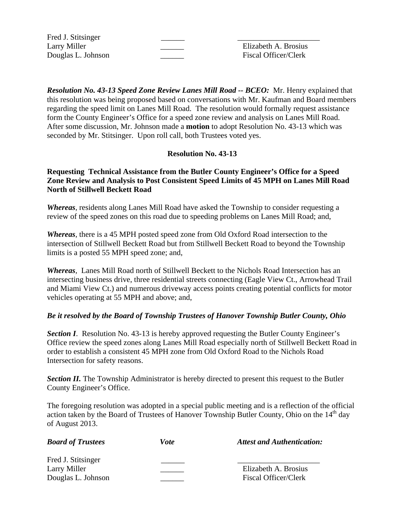Fred J. Stitsinger

Larry Miller **Elizabeth A. Brosius** Douglas L. Johnson \_\_\_\_\_\_ Fiscal Officer/Clerk

*Resolution No. 43-13 Speed Zone Review Lanes Mill Road -- BCEO:* Mr. Henry explained that this resolution was being proposed based on conversations with Mr. Kaufman and Board members regarding the speed limit on Lanes Mill Road. The resolution would formally request assistance form the County Engineer's Office for a speed zone review and analysis on Lanes Mill Road. After some discussion, Mr. Johnson made a **motion** to adopt Resolution No. 43-13 which was seconded by Mr. Stitsinger. Upon roll call, both Trustees voted yes.

### **Resolution No. 43-13**

### **Requesting Technical Assistance from the Butler County Engineer's Office for a Speed Zone Review and Analysis to Post Consistent Speed Limits of 45 MPH on Lanes Mill Road North of Stillwell Beckett Road**

*Whereas*, residents along Lanes Mill Road have asked the Township to consider requesting a review of the speed zones on this road due to speeding problems on Lanes Mill Road; and,

*Whereas*, there is a 45 MPH posted speed zone from Old Oxford Road intersection to the intersection of Stillwell Beckett Road but from Stillwell Beckett Road to beyond the Township limits is a posted 55 MPH speed zone; and,

*Whereas*, Lanes Mill Road north of Stillwell Beckett to the Nichols Road Intersection has an intersecting business drive, three residential streets connecting (Eagle View Ct., Arrowhead Trail and Miami View Ct.) and numerous driveway access points creating potential conflicts for motor vehicles operating at 55 MPH and above; and,

### *Be it resolved by the Board of Township Trustees of Hanover Township Butler County, Ohio*

*Section I.* Resolution No. 43-13 is hereby approved requesting the Butler County Engineer's Office review the speed zones along Lanes Mill Road especially north of Stillwell Beckett Road in order to establish a consistent 45 MPH zone from Old Oxford Road to the Nichols Road Intersection for safety reasons.

**Section II.** The Township Administrator is hereby directed to present this request to the Butler County Engineer's Office.

The foregoing resolution was adopted in a special public meeting and is a reflection of the official action taken by the Board of Trustees of Hanover Township Butler County, Ohio on the  $14<sup>th</sup>$  day of August 2013.

| <b>Board of Trustees</b>           | Vote | <b>Attest and Authentication:</b> |
|------------------------------------|------|-----------------------------------|
| Fred J. Stitsinger<br>Larry Miller |      | Elizabeth A. Brosius              |
| Douglas L. Johnson                 |      | Fiscal Officer/Clerk              |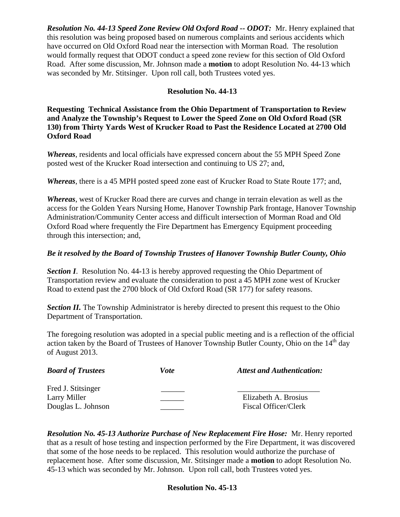*Resolution No. 44-13 Speed Zone Review Old Oxford Road -- ODOT:* Mr. Henry explained that this resolution was being proposed based on numerous complaints and serious accidents which have occurred on Old Oxford Road near the intersection with Morman Road. The resolution would formally request that ODOT conduct a speed zone review for this section of Old Oxford Road. After some discussion, Mr. Johnson made a **motion** to adopt Resolution No. 44-13 which was seconded by Mr. Stitsinger. Upon roll call, both Trustees voted yes.

# **Resolution No. 44-13**

**Requesting Technical Assistance from the Ohio Department of Transportation to Review and Analyze the Township's Request to Lower the Speed Zone on Old Oxford Road (SR 130) from Thirty Yards West of Krucker Road to Past the Residence Located at 2700 Old Oxford Road** 

*Whereas*, residents and local officials have expressed concern about the 55 MPH Speed Zone posted west of the Krucker Road intersection and continuing to US 27; and,

*Whereas*, there is a 45 MPH posted speed zone east of Krucker Road to State Route 177; and,

*Whereas*, west of Krucker Road there are curves and change in terrain elevation as well as the access for the Golden Years Nursing Home, Hanover Township Park frontage, Hanover Township Administration/Community Center access and difficult intersection of Morman Road and Old Oxford Road where frequently the Fire Department has Emergency Equipment proceeding through this intersection; and,

### *Be it resolved by the Board of Township Trustees of Hanover Township Butler County, Ohio*

**Section I.** Resolution No. 44-13 is hereby approved requesting the Ohio Department of Transportation review and evaluate the consideration to post a 45 MPH zone west of Krucker Road to extend past the 2700 block of Old Oxford Road (SR 177) for safety reasons.

**Section II.** The Township Administrator is hereby directed to present this request to the Ohio Department of Transportation.

The foregoing resolution was adopted in a special public meeting and is a reflection of the official action taken by the Board of Trustees of Hanover Township Butler County, Ohio on the  $14<sup>th</sup>$  day of August 2013.

| <b>Board of Trustees</b>                                 | <i>Vote</i> | <b>Attest and Authentication:</b>            |
|----------------------------------------------------------|-------------|----------------------------------------------|
| Fred J. Stitsinger<br>Larry Miller<br>Douglas L. Johnson |             | Elizabeth A. Brosius<br>Fiscal Officer/Clerk |

*Resolution No. 45-13 Authorize Purchase of New Replacement Fire Hose:* Mr. Henry reported that as a result of hose testing and inspection performed by the Fire Department, it was discovered that some of the hose needs to be replaced. This resolution would authorize the purchase of replacement hose. After some discussion, Mr. Stitsinger made a **motion** to adopt Resolution No. 45-13 which was seconded by Mr. Johnson. Upon roll call, both Trustees voted yes.

#### **Resolution No. 45-13**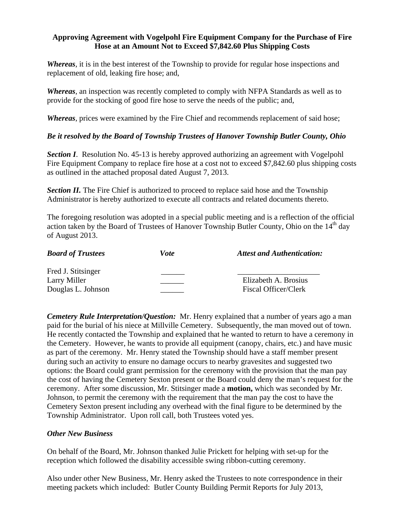### **Approving Agreement with Vogelpohl Fire Equipment Company for the Purchase of Fire Hose at an Amount Not to Exceed \$7,842.60 Plus Shipping Costs**

*Whereas*, it is in the best interest of the Township to provide for regular hose inspections and replacement of old, leaking fire hose; and,

*Whereas*, an inspection was recently completed to comply with NFPA Standards as well as to provide for the stocking of good fire hose to serve the needs of the public; and,

*Whereas*, prices were examined by the Fire Chief and recommends replacement of said hose;

### *Be it resolved by the Board of Township Trustees of Hanover Township Butler County, Ohio*

*Section I*. Resolution No. 45-13 is hereby approved authorizing an agreement with Vogelpohl Fire Equipment Company to replace fire hose at a cost not to exceed \$7,842.60 plus shipping costs as outlined in the attached proposal dated August 7, 2013.

**Section II.** The Fire Chief is authorized to proceed to replace said hose and the Township Administrator is hereby authorized to execute all contracts and related documents thereto.

The foregoing resolution was adopted in a special public meeting and is a reflection of the official action taken by the Board of Trustees of Hanover Township Butler County, Ohio on the  $14<sup>th</sup>$  day of August 2013.

| <b>Board of Trustees</b> | Vote | <b>Attest and Authentication:</b> |
|--------------------------|------|-----------------------------------|
| Fred J. Stitsinger       |      |                                   |
| Larry Miller             |      | Elizabeth A. Brosius              |
| Douglas L. Johnson       |      | Fiscal Officer/Clerk              |

*Cemetery Rule Interpretation/Question:* Mr. Henry explained that a number of years ago a man paid for the burial of his niece at Millville Cemetery. Subsequently, the man moved out of town. He recently contacted the Township and explained that he wanted to return to have a ceremony in the Cemetery. However, he wants to provide all equipment (canopy, chairs, etc.) and have music as part of the ceremony. Mr. Henry stated the Township should have a staff member present during such an activity to ensure no damage occurs to nearby gravesites and suggested two options: the Board could grant permission for the ceremony with the provision that the man pay the cost of having the Cemetery Sexton present or the Board could deny the man's request for the ceremony. After some discussion, Mr. Stitsinger made a **motion,** which was seconded by Mr. Johnson, to permit the ceremony with the requirement that the man pay the cost to have the Cemetery Sexton present including any overhead with the final figure to be determined by the Township Administrator. Upon roll call, both Trustees voted yes.

#### *Other New Business*

On behalf of the Board, Mr. Johnson thanked Julie Prickett for helping with set-up for the reception which followed the disability accessible swing ribbon-cutting ceremony.

Also under other New Business, Mr. Henry asked the Trustees to note correspondence in their meeting packets which included: Butler County Building Permit Reports for July 2013,